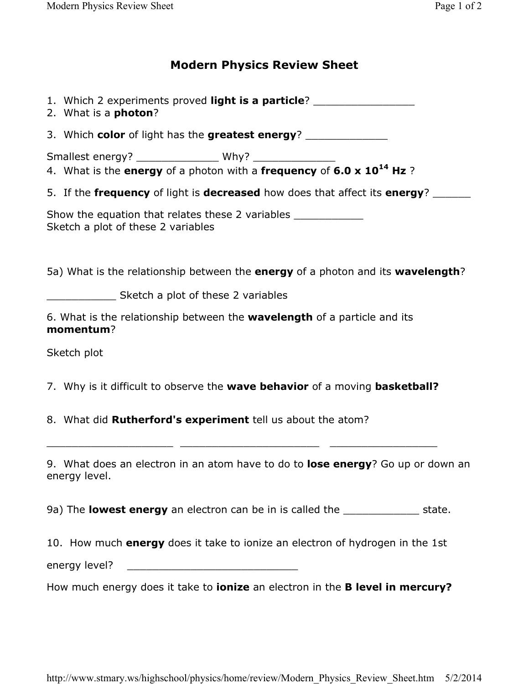## **Modern Physics Review Sheet**

1. Which 2 experiments proved **light is a particle**? \_\_\_\_\_\_\_\_\_\_\_\_\_\_\_\_

2. What is a **photon**?

3. Which **color** of light has the **greatest energy**? \_\_\_\_\_\_\_\_\_\_\_\_\_

Smallest energy? \_\_\_\_\_\_\_\_\_\_\_\_\_ Why? \_\_\_\_\_\_\_\_\_\_\_\_\_

- 4. What is the **energy** of a photon with a **frequency** of **6.0 x 10<sup>14</sup> Hz** ?
- 5. If the **frequency** of light is **decreased** how does that affect its **energy**? \_\_\_\_\_\_

Show the equation that relates these 2 variables Sketch a plot of these 2 variables

5a) What is the relationship between the **energy** of a photon and its **wavelength**?

\_\_\_\_\_\_\_\_\_\_\_ Sketch a plot of these 2 variables

6. What is the relationship between the **wavelength** of a particle and its **momentum**?

Sketch plot

7. Why is it difficult to observe the **wave behavior** of a moving **basketball?**

\_\_\_\_\_\_\_\_\_\_\_\_\_\_\_\_\_\_\_\_ \_\_\_\_\_\_\_\_\_\_\_\_\_\_\_\_\_\_\_\_\_\_ \_\_\_\_\_\_\_\_\_\_\_\_\_\_\_\_\_

8. What did **Rutherford's experiment** tell us about the atom?

9. What does an electron in an atom have to do to **lose energy**? Go up or down an energy level.

9a) The **lowest energy** an electron can be in is called the \_\_\_\_\_\_\_\_\_\_\_\_ state.

10. How much **energy** does it take to ionize an electron of hydrogen in the 1st

energy level?

How much energy does it take to **ionize** an electron in the **B level in mercury?**